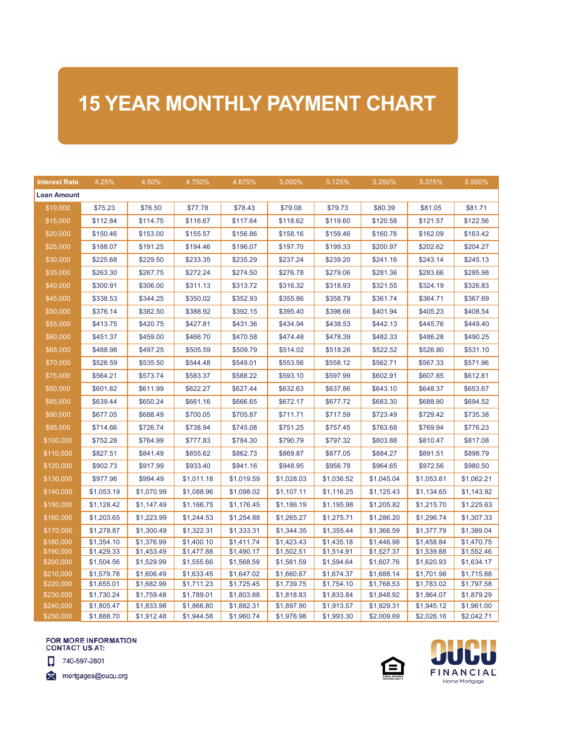## **15 YEAR MONTHLY PAYMENT CHART**

| <b>Interest Rate</b> | 4.25%      | 4.50%      | 4.750%     | 4.875%     | 5.000%     | 5.125%     | 5.250%     | 5.375%     | 5.500%     |
|----------------------|------------|------------|------------|------------|------------|------------|------------|------------|------------|
| <b>Loan Amount</b>   |            |            |            |            |            |            |            |            |            |
| \$10,000             | \$75.23    | \$76.50    | \$77.78    | \$78.43    | \$79.08    | \$79.73    | \$80.39    | \$81.05    | \$81.71    |
| \$15,000             | \$112.84   | \$114.75   | \$116.67   | \$117.64   | \$118.62   | \$119.60   | \$120.58   | \$121.57   | \$122.56   |
| \$20,000             | \$150.46   | \$153.00   | \$155.57   | \$156.86   | \$158.16   | \$159.46   | \$160.78   | \$162.09   | \$163.42   |
| \$25,000             | \$188.07   | \$191.25   | \$194.46   | \$196.07   | \$197.70   | \$199.33   | \$200.97   | \$202.62   | \$204.27   |
| \$30,000             | \$225.68   | \$229.50   | \$233.35   | \$235.29   | \$237.24   | \$239.20   | \$241.16   | \$243.14   | \$245.13   |
| \$35,000             | \$263.30   | \$267.75   | \$272.24   | \$274.50   | \$276.78   | \$279.06   | \$281.36   | \$283.66   | \$285.98   |
| \$40,000             | \$300.91   | \$306.00   | \$311.13   | \$313.72   | \$316.32   | \$318.93   | \$321.55   | \$324.19   | \$326.83   |
| \$45,000             | \$338.53   | \$344.25   | \$350.02   | \$352.93   | \$355.86   | \$358.79   | \$361.74   | \$364.71   | \$367.69   |
| \$50,000             | \$376.14   | \$382.50   | \$388.92   | \$392.15   | \$395.40   | \$398.66   | \$401.94   | \$405.23   | \$408.54   |
| \$55,000             | \$413.75   | \$420.75   | \$427.81   | \$431.36   | \$434.94   | \$438.53   | \$442.13   | \$445.76   | \$449.40   |
| \$60,000             | \$451.37   | \$459.00   | \$466.70   | \$470.58   | \$474.48   | \$478.39   | \$482.33   | \$486.28   | \$490.25   |
| \$65,000             | \$488.98   | \$497.25   | \$505.59   | \$509.79   | \$514.02   | \$518.26   | \$522.52   | \$526.80   | \$531.10   |
| \$70,000             | \$526.59   | \$535.50   | \$544.48   | \$549.01   | \$553.56   | \$558.12   | \$562.71   | \$567.33   | \$571.96   |
| \$75,000             | \$564.21   | \$573.74   | \$583.37   | \$588.22   | \$593.10   | \$597.99   | \$602.91   | \$607.85   | \$612.81   |
| \$80,000             | \$601.82   | \$611.99   | \$622.27   | \$627.44   | \$632.63   | \$637.86   | \$643.10   | \$648.37   | \$653.67   |
| \$85,000             | \$639.44   | \$650.24   | \$661.16   | \$666.65   | \$672.17   | \$677.72   | \$683.30   | \$688.90   | \$694.52   |
| \$90,000             | \$677.05   | \$688.49   | \$700.05   | \$705.87   | \$711.71   | \$717.59   | \$723.49   | \$729.42   | \$735.38   |
| \$95,000             | \$714.66   | \$726.74   | \$738.94   | \$745.08   | \$751.25   | \$757.45   | \$763.68   | \$769.94   | \$776.23   |
| \$100,000            | \$752.28   | \$764.99   | \$777.83   | \$784.30   | \$790.79   | \$797.32   | \$803.88   | \$810.47   | \$817.08   |
| \$110,000            | \$827.51   | \$841.49   | \$855.62   | \$862.73   | \$869.87   | \$877.05   | \$884.27   | \$891.51   | \$898.79   |
| \$120,000            | \$902.73   | \$917.99   | \$933.40   | \$941.16   | \$948.95   | \$956.78   | \$964.65   | \$972.56   | \$980.50   |
| \$130,000            | \$977.96   | \$994.49   | \$1,011.18 | \$1,019.59 | \$1,028.03 | \$1,036.52 | \$1,045.04 | \$1,053.61 | \$1,062.21 |
| \$140,000            | \$1,053.19 | \$1,070.99 | \$1,088.96 | \$1,098.02 | \$1,107.11 | \$1,116.25 | \$1,125.43 | \$1,134.65 | \$1,143.92 |
| \$150,000            | \$1,128.42 | \$1,147.49 | \$1,166.75 | \$1,176.45 | \$1,186.19 | \$1,195.98 | \$1,205.82 | \$1,215.70 | \$1,225.63 |
| \$160,000            | \$1,203.65 | \$1,223.99 | \$1,244.53 | \$1,254.88 | \$1,265.27 | \$1,275.71 | \$1,286.20 | \$1,296.74 | \$1,307.33 |
| \$170,000            | \$1,278.87 | \$1,300.49 | \$1,322.31 | \$1,333.31 | \$1,344.35 | \$1,355.44 | \$1,366.59 | \$1,377.79 | \$1,389.04 |
| \$180,000            | \$1,354.10 | \$1,376.99 | \$1,400.10 | \$1,411.74 | \$1,423.43 | \$1,435.18 | \$1,446.98 | \$1,458.84 | \$1,470.75 |
| \$190,000            | \$1,429.33 | \$1,453.49 | \$1,477.88 | \$1,490.17 | \$1,502.51 | \$1,514.91 | \$1,527.37 | \$1,539.88 | \$1,552.46 |
| \$200,000            | \$1,504.56 | \$1,529.99 | \$1,555.66 | \$1,568.59 | \$1,581.59 | \$1,594.64 | \$1,607.76 | \$1,620.93 | \$1,634.17 |
| \$210,000            | \$1,579.78 | \$1,606.49 | \$1,633.45 | \$1,647.02 | \$1,660.67 | \$1,674.37 | \$1,688.14 | \$1,701.98 | \$1,715.88 |
| \$220,000            | \$1,655.01 | \$1,682.99 | \$1,711.23 | \$1,725.45 | \$1,739.75 | \$1,754.10 | \$1,768.53 | \$1,783.02 | \$1,797.58 |
| \$230,000            | \$1,730.24 | \$1,759.48 | \$1,789.01 | \$1,803.88 | \$1,818.83 | \$1,833.84 | \$1,848.92 | \$1,864.07 | \$1,879.29 |
| \$240,000            | \$1,805.47 | \$1,833.98 | \$1,866.80 | \$1,882.31 | \$1,897.90 | \$1,913.57 | \$1,929.31 | \$1,945.12 | \$1,961.00 |
| \$250,000            | \$1,888.70 | \$1,912.48 | \$1,944.58 | \$1,960.74 | \$1,976.98 | \$1,993.30 | \$2,009.69 | \$2,026.16 | \$2,042.71 |

## FOR MORE INFORMATION<br>CONTACT US AT:



mortgages@oucu.org